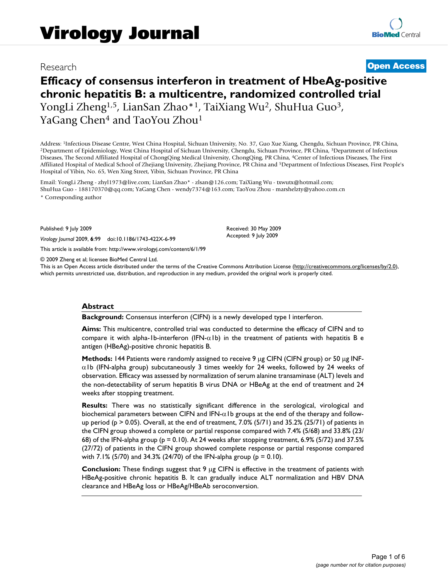# Research **[Open Access](http://www.biomedcentral.com/info/about/charter/)**

# **Efficacy of consensus interferon in treatment of HbeAg-positive chronic hepatitis B: a multicentre, randomized controlled trial** YongLi Zheng1,5, LianSan Zhao\*1, TaiXiang Wu2, ShuHua Guo3, YaGang Chen<sup>4</sup> and TaoYou Zhou<sup>1</sup>

Address: 1Infectious Disease Centre, West China Hospital, Sichuan University, No. 37, Guo Xue Xiang, Chengdu, Sichuan Province, PR China, 2Department of Epidemiology, West China Hospital of Sichuan University, Chengdu, Sichuan Province, PR China, 3Department of Infectious Diseases, The Second Affiliated Hospital of ChongQing Medical University, ChongQing, PR China, 4Center of Infectious Diseases, The First Affiliated Hospital of Medical School of Zhejiang University, Zhejiang Province, PR China and 5Department of Infectious Diseases, First People's Hospital of Yibin, No. 65, Wen Xing Street, Yibin, Sichuan Province, PR China

Email: YongLi Zheng - zhyl1973@live.com; LianSan Zhao\* - zlsan@126.com; TaiXiang Wu - txwutx@hotmail.com; ShuHua Guo - 188170370@qq.com; YaGang Chen - wendy7374@163.com; TaoYou Zhou - marshelzty@yahoo.com.cn

\* Corresponding author

Published: 9 July 2009

*Virology Journal* 2009, **6**:99 doi:10.1186/1743-422X-6-99

[This article is available from: http://www.virologyj.com/content/6/1/99](http://www.virologyj.com/content/6/1/99)

© 2009 Zheng et al; licensee BioMed Central Ltd.

This is an Open Access article distributed under the terms of the Creative Commons Attribution License [\(http://creativecommons.org/licenses/by/2.0\)](http://creativecommons.org/licenses/by/2.0), which permits unrestricted use, distribution, and reproduction in any medium, provided the original work is properly cited.

Received: 30 May 2009 Accepted: 9 July 2009

#### **Abstract**

**Background:** Consensus interferon (CIFN) is a newly developed type I interferon.

**Aims:** This multicentre, controlled trial was conducted to determine the efficacy of CIFN and to compare it with alpha-1b-interferon (IFN-α1b) in the treatment of patients with hepatitis B e antigen (HBeAg)-positive chronic hepatitis B.

**Methods:** 144 Patients were randomly assigned to receive 9 μg CIFN (CIFN group) or 50 μg INF- $\alpha$ 1b (IFN-alpha group) subcutaneously 3 times weekly for 24 weeks, followed by 24 weeks of observation. Efficacy was assessed by normalization of serum alanine transaminase (ALT) levels and the non-detectability of serum hepatitis B virus DNA or HBeAg at the end of treatment and 24 weeks after stopping treatment.

**Results:** There was no statistically significant difference in the serological, virological and biochemical parameters between CIFN and IFN- $\alpha$ Ib groups at the end of the therapy and followup period (p > 0.05). Overall, at the end of treatment, 7.0% (5/71) and 35.2% (25/71) of patients in the CIFN group showed a complete or partial response compared with 7.4% (5/68) and 33.8% (23/ 68) of the IFN-alpha group (p = 0.10). At 24 weeks after stopping treatment, 6.9% (5/72) and 37.5% (27/72) of patients in the CIFN group showed complete response or partial response compared with 7.1% (5/70) and 34.3% (24/70) of the IFN-alpha group ( $p = 0.10$ ).

**Conclusion:** These findings suggest that 9 μg CIFN is effective in the treatment of patients with HBeAg-positive chronic hepatitis B. It can gradually induce ALT normalization and HBV DNA clearance and HBeAg loss or HBeAg/HBeAb seroconversion.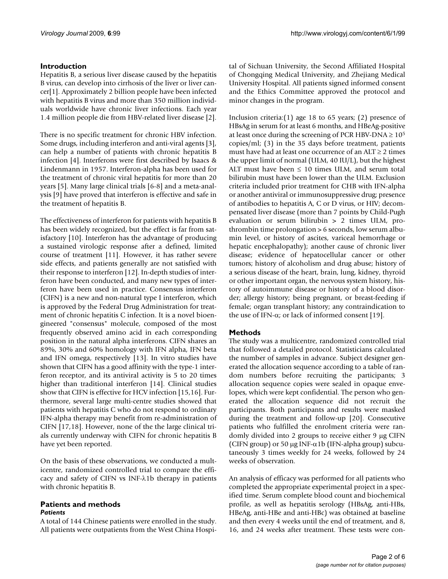#### *Virology Journal* 2009, 6:99 http://www.virologyj.com/content/6/1/99

## **Introduction**

Hepatitis B, a serious liver disease caused by the hepatitis B virus, can develop into cirrhosis of the liver or liver cancer[1]. Approximately 2 billion people have been infected with hepatitis B virus and more than 350 million individuals worldwide have chronic liver infections. Each year 1.4 million people die from HBV-related liver disease [2].

There is no specific treatment for chronic HBV infection. Some drugs, including interferon and anti-viral agents [3], can help a number of patients with chronic hepatitis B infection [4]. Interferons were first described by Isaacs & Lindenmann in 1957. Interferon-alpha has been used for the treatment of chronic viral hepatitis for more than 20 years [5]. Many large clinical trials [6-8] and a meta-analysis [9] have proved that interferon is effective and safe in the treatment of hepatitis B.

The effectiveness of interferon for patients with hepatitis B has been widely recognized, but the effect is far from satisfactory [10]. Interferon has the advantage of producing a sustained virologic response after a defined, limited course of treatment [11]. However, it has rather severe side effects, and patients generally are not satisfied with their response to interferon [12]. In-depth studies of interferon have been conducted, and many new types of interferon have been used in practice. Consensus interferon (CIFN) is a new and non-natural type I interferon, which is approved by the Federal Drug Administration for treatment of chronic hepatitis C infection. It is a novel bioengineered "consensus" molecule, composed of the most frequently observed amino acid in each corresponding position in the natural alpha interferons. CIFN shares an 89%, 30% and 60% homology with IFN alpha, IFN beta and IFN omega, respectively [13]. In vitro studies have shown that CIFN has a good affinity with the type-1 interferon receptor, and its antiviral activity is 5 to 20 times higher than traditional interferon [14]. Clinical studies show that CIFN is effective for HCV infection [15,16]. Furthermore, several large multi-centre studies showed that patients with hepatitis C who do not respond to ordinary IFN-alpha therapy may benefit from re-administration of CIFN [17,18]. However, none of the the large clinical trials currently underway with CIFN for chronic hepatitis B have yet been reported.

On the basis of these observations, we conducted a multicentre, randomized controlled trial to compare the efficacy and safety of CIFN vs INF-λ1b therapy in patients with chronic hepatitis B.

## **Patients and methods** *Patients*

A total of 144 Chinese patients were enrolled in the study. All patients were outpatients from the West China Hospital of Sichuan University, the Second Affiliated Hospital of Chongqing Medical University, and Zhejiang Medical University Hospital. All patients signed informed consent and the Ethics Committee approved the protocol and minor changes in the program.

Inclusion criteria:(1) age 18 to 65 years; (2) presence of HBsAg in serum for at least 6 months, and HBeAg-positive at least once during the screening of PCR HBV-DNA  $\geq 10^5$ copies/ml; (3) in the 35 days before treatment, patients must have had at least one occurrence of an  $ALT \geq 2$  times the upper limit of normal (ULM, 40 IU/L), but the highest ALT must have been  $\leq 10$  times ULM, and serum total bilirubin must have been lower than the ULM. Exclusion criteria included prior treatment for CHB with IFN-alpha or another antiviral or immunosuppressive drug; presence of antibodies to hepatitis A, C or D virus, or HIV; decompensated liver disease (more than 7 points by Child-Pugh evaluation or serum bilirubin > 2 times ULM, prothrombin time prolongation > 6 seconds, low serum albumin level, or history of ascites, variceal hemorrhage or hepatic encephalopathy); another cause of chronic liver disease; evidence of hepatocellular cancer or other tumors; history of alcoholism and drug abuse; history of a serious disease of the heart, brain, lung, kidney, thyroid or other important organ, the nervous system history, history of autoimmune disease or history of a blood disorder; allergy history; being pregnant, or breast-feeding if female; organ transplant history; any contraindication to the use of IFN- $\alpha$ ; or lack of informed consent [19].

# **Methods**

The study was a multicentre, randomized controlled trial that followed a detailed protocol. Statisticians calculated the number of samples in advance. Subject designer generated the allocation sequence according to a table of random numbers before recruiting the participants; 3 allocation sequence copies were sealed in opaque envelopes, which were kept confidential. The person who generated the allocation sequence did not recruit the participants. Both participants and results were masked during the treatment and follow-up [20]. Consecutive patients who fulfilled the enrolment criteria were randomly divided into 2 groups to receive either 9 μg CIFN (CIFN group) or 50 μg INF-α1b (IFN-alpha group) subcutaneously 3 times weekly for 24 weeks, followed by 24 weeks of observation.

An analysis of efficacy was performed for all patients who completed the appropriate experimental project in a specified time. Serum complete blood count and biochemical profile, as well as hepatitis serology (HBsAg, anti-HBs, HBeAg, anti-HBe and anti-HBc) was obtained at baseline and then every 4 weeks until the end of treatment, and 8, 16, and 24 weeks after treatment. These tests were con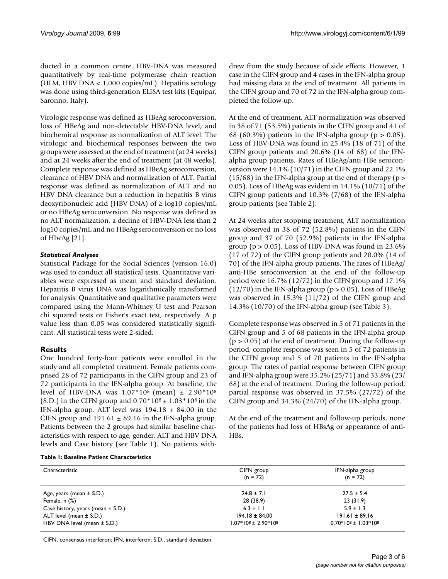ducted in a common centre. HBV-DNA was measured quantitatively by real-time polymerase chain reaction (ULM, HBV DNA < 1,000 copies/mL). Hepatitis serology was done using third-generation ELISA test kits (Equipar, Saronno, Italy).

Virologic response was defined as HBeAg seroconversion, loss of HBeAg and non-detectable HBV-DNA level, and biochemical response as normalization of ALT level. The virologic and biochemical responses between the two groups were assessed at the end of treatment (at 24 weeks) and at 24 weeks after the end of treatment (at 48 weeks). Complete response was defined as HBeAg seroconversion, clearance of HBV DNA and normalization of ALT. Partial response was defined as normalization of ALT and no HBV DNA clearance but a reduction in hepatitis B virus deoxyribonucleic acid (HBV DNA) of  $\geq$  log10 copies/mL or no HBeAg seroconversion. No response was defined as no ALT normalization, a decline of HBV-DNA less than 2 log10 copies/mL and no HBeAg seroconversion or no loss of HbeAg [21].

# *Statistical Analyses*

Statistical Package for the Social Sciences (version 16.0) was used to conduct all statistical tests. Quantitative variables were expressed as mean and standard deviation. Hepatitis B virus DNA was logarithmically transformed for analysis. Quantitative and qualitative parameters were compared using the Mann-Whitney U test and Pearson chi squared tests or Fisher's exact test, respectively. A p value less than 0.05 was considered statistically significant. All statistical tests were 2-sided.

# **Results**

One hundred forty-four patients were enrolled in the study and all completed treatment. Female patients comprised 28 of 72 participants in the CIFN group and 23 of 72 participants in the IFN-alpha group. At baseline, the level of HBV-DNA was  $1.07*10<sup>8</sup>$  (mean)  $\pm 2.90*10<sup>8</sup>$ (S.D.) in the CIFN group and  $0.70*10* + 1.03*10*$  in the IFN-alpha group. ALT level was  $194.18 \pm 84.00$  in the CIFN group and  $191.61 \pm 89.16$  in the IFN-alpha group. Patients between the 2 groups had similar baseline characteristics with respect to age, gender, ALT and HBV DNA levels and Case history (see Table 1). No patients withdrew from the study because of side effects. However, 1 case in the CIFN group and 4 cases in the IFN-alpha group had missing data at the end of treatment. All patients in the CIFN group and 70 of 72 in the IFN-alpha group completed the follow-up.

At the end of treatment, ALT normalization was observed in 38 of 71 (53.5%) patients in the CIFN group and 41 of 68 (60.3%) patients in the IFN-alpha group ( $p > 0.05$ ). Loss of HBV-DNA was found in 25.4% (18 of 71) of the CIFN group patients and 20.6% (14 of 68) of the IFNalpha group patients. Rates of HBeAg/anti-HBe seroconversion were 14.1% (10/71) in the CIFN group and 22.1%  $(15/68)$  in the IFN-alpha group at the end of therapy (p > 0.05). Loss of HBeAg was evident in 14.1% (10/71) of the CIFN group patients and 10.3% (7/68) of the IFN-alpha group patients (see Table 2).

At 24 weeks after stopping treatment, ALT normalization was observed in 38 of 72 (52.8%) patients in the CIFN group and 37 of 70 (52.9%) patients in the IFN-alpha group ( $p > 0.05$ ). Loss of HBV-DNA was found in 23.6% (17 of 72) of the CIFN group patients and 20.0% (14 of 70) of the IFN-alpha group patients. The rates of HBeAg/ anti-HBe seroconversion at the end of the follow-up period were 16.7% (12/72) in the CIFN group and 17.1% (12/70) in the IFN-alpha group ( $p > 0.05$ ). Loss of HBeAg was observed in 15.3% (11/72) of the CIFN group and 14.3% (10/70) of the IFN-alpha group (see Table 3).

Complete response was observed in 5 of 71 patients in the CIFN group and 5 of 68 patients in the IFN-alpha group  $(p > 0.05)$  at the end of treatment. During the follow-up period, complete response was seen in 5 of 72 patients in the CIFN group and 5 of 70 patients in the IFN-alpha group. The rates of partial response between CIFN group and IFN-alpha group were 35.2% (25/71) and 33.8% (23/ 68) at the end of treatment. During the follow-up period, partial response was observed in 37.5% (27/72) of the CIFN group and 34.3% (24/70) of the IFN-alpha group.

At the end of the treatment and follow-up periods, none of the patients had loss of HBsAg or appearance of anti-H<sub>Bs</sub>.

| Characteristic                    | CIFN group<br>$(n = 72)$ | IFN-alpha group<br>$(n = 72)$ |
|-----------------------------------|--------------------------|-------------------------------|
| Age, years (mean $\pm$ S.D.)      | $24.8 \pm 7.1$           | $27.5 \pm 5.4$                |
| Female, n (%)                     | 28 (38.9)                | 23(31.9)                      |
| Case history, years (mean ± S.D.) | $6.3 \pm 1.1$            | $5.9 \pm 1.3$                 |
| ALT level (mean $\pm$ S.D.)       | $194.18 \pm 84.00$       | $191.61 \pm 89.16$            |
| HBV DNA level (mean $\pm$ S.D.)   | $1.07*108 \pm 2.90*108$  | $0.70*108 \pm 1.03*108$       |

CIFN, consensus interferon; IFN, interferon; S.D., standard deviation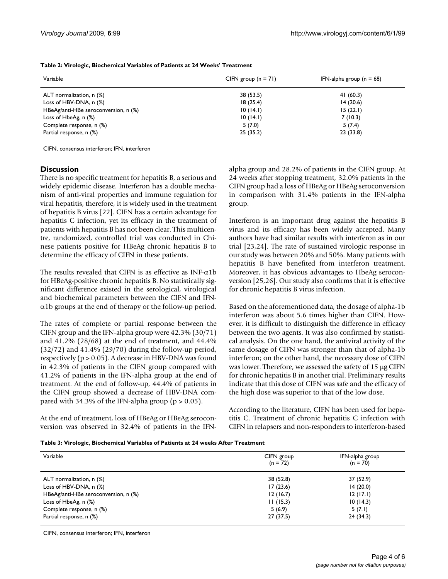| Variable                             | CIFN group $(n = 71)$ | IFN-alpha group $(n = 68)$ |
|--------------------------------------|-----------------------|----------------------------|
| ALT normalization, n (%)             | 38 (53.5)             | 41(60.3)                   |
| Loss of HBV-DNA, $n$ $%$             | 18(25.4)              | 14(20.6)                   |
| HBeAg/anti-HBe seroconversion, n (%) | 10(14.1)              | 15(22.1)                   |
| Loss of HbeAg, n (%)                 | 10(14.1)              | 7(10.3)                    |
| Complete response, n (%)             | 5(7.0)                | 5(7.4)                     |
| Partial response, n (%)              | 25(35.2)              | 23(33.8)                   |

**Table 2: Virologic, Biochemical Variables of Patients at 24 Weeks' Treatment**

CIFN, consensus interferon; IFN, interferon

## **Discussion**

There is no specific treatment for hepatitis B, a serious and widely epidemic disease. Interferon has a double mechanism of anti-viral properties and immune regulation for viral hepatitis, therefore, it is widely used in the treatment of hepatitis B virus [22]. CIFN has a certain advantage for hepatitis C infection, yet its efficacy in the treatment of patients with hepatitis B has not been clear. This multicentre, randomized, controlled trial was conducted in Chinese patients positive for HBeAg chronic hepatitis B to determine the efficacy of CIFN in these patients.

The results revealed that CIFN is as effective as INF- $\alpha$ 1b for HBeAg-positive chronic hepatitis B. No statistically significant difference existed in the serological, virological and biochemical parameters between the CIFN and IFN- $\alpha$ 1b groups at the end of therapy or the follow-up period.

The rates of complete or partial response between the CIFN group and the IFN-alpha group were 42.3% (30/71) and 41.2% (28/68) at the end of treatment, and 44.4% (32/72) and 41.4% (29/70) during the follow-up period, respectively (p > 0.05). A decrease in HBV-DNA was found in 42.3% of patients in the CIFN group compared with 41.2% of patients in the IFN-alpha group at the end of treatment. At the end of follow-up, 44.4% of patients in the CIFN group showed a decrease of HBV-DNA compared with 34.3% of the IFN-alpha group ( $p > 0.05$ ).

At the end of treatment, loss of HBeAg or HBeAg seroconversion was observed in 32.4% of patients in the IFN-

alpha group and 28.2% of patients in the CIFN group. At 24 weeks after stopping treatment, 32.0% patients in the CIFN group had a loss of HBeAg or HBeAg seroconversion in comparison with 31.4% patients in the IFN-alpha group.

Interferon is an important drug against the hepatitis B virus and its efficacy has been widely accepted. Many authors have had similar results with interferon as in our trial [23,24]. The rate of sustained virologic response in our study was between 20% and 50%. Many patients with hepatitis B have benefited from interferon treatment. Moreover, it has obvious advantages to HbeAg seroconversion [25,26]. Our study also confirms that it is effective for chronic hepatitis B virus infection.

Based on the aforementioned data, the dosage of alpha-1b interferon was about 5.6 times higher than CIFN. However, it is difficult to distinguish the difference in efficacy between the two agents. It was also confirmed by statistical analysis. On the one hand, the antiviral activity of the same dosage of CIFN was stronger than that of alpha-1b interferon; on the other hand, the necessary dose of CIFN was lower. Therefore, we assessed the safety of 15 μg CIFN for chronic hepatitis B in another trial. Preliminary results indicate that this dose of CIFN was safe and the efficacy of the high dose was superior to that of the low dose.

According to the literature, CIFN has been used for hepatitis C. Treatment of chronic hepatitis C infection with CIFN in relapsers and non-responders to interferon-based

#### **Table 3: Virologic, Biochemical Variables of Patients at 24 weeks After Treatment**

| Variable                             | CIFN group<br>$(n = 72)$ | IFN-alpha group<br>$(n = 70)$ |
|--------------------------------------|--------------------------|-------------------------------|
| ALT normalization, n (%)             | 38 (52.8)                | 37 (52.9)                     |
| Loss of HBV-DNA, n (%)               | 17(23.6)                 | 14(20.0)                      |
| HBeAg/anti-HBe seroconversion, n (%) | 12(16.7)                 | 12(17.1)                      |
| Loss of HbeAg, n (%)                 | 11(15.3)                 | 10(14.3)                      |
| Complete response, n (%)             | 5(6.9)                   | 5(7.1)                        |
| Partial response, n (%)              | 27 (37.5)                | 24(34.3)                      |

CIFN, consensus interferon; IFN, interferon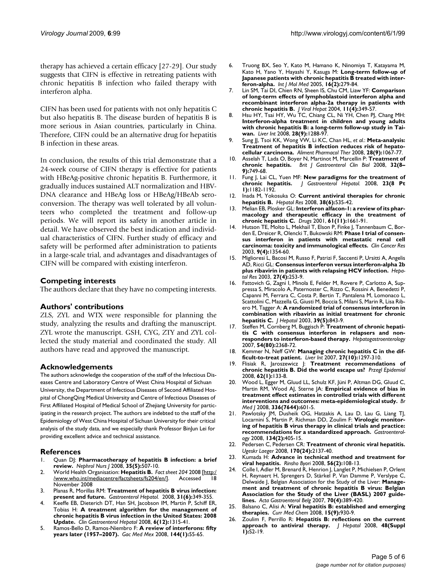therapy has achieved a certain efficacy [27-29]. Our study suggests that CIFN is effective in retreating patients with chronic hepatitis B infection who failed therapy with interferon alpha.

CIFN has been used for patients with not only hepatitis C but also hepatitis B. The disease burden of hepatitis B is more serious in Asian countries, particularly in China. Therefore, CIFN could be an alternative drug for hepatitis B infection in these areas.

In conclusion, the results of this trial demonstrate that a 24-week course of CIFN therapy is effective for patients with HBeAg-positive chronic hepatitis B. Furthermore, it gradually induces sustained ALT normalization and HBV-DNA clearance and HBeAg loss or HBeAg/HBeAb seroconversion. The therapy was well tolerated by all volunteers who completed the treatment and follow-up periods. We will report its safety in another article in detail. We have observed the best indication and individual characteristics of CIFN. Further study of efficacy and safety will be performed after administration to patients in a large-scale trial, and advantages and disadvantages of CIFN will be compared with existing interferon.

## **Competing interests**

The authors declare that they have no competing interests.

#### **Authors' contributions**

ZLS, ZYL and WTX were responsible for planning the study, analyzing the results and drafting the manuscript. ZYL wrote the manuscript. GSH, CYG, ZTY and ZYL collected the study material and coordinated the study. All authors have read and approved the manuscript.

## **Acknowledgements**

The authors acknowledge the cooperation of the staff of the Infectious Diseases Centre and Laboratory Centre of West China Hospital of Sichuan University, the Department of Infectious Diseases of Second Affiliated Hospital of ChongQing Medical University and Centre of Infectious Diseases of First Affiliated Hospital of Medical School of Zhejiang University for participating in the research project. The authors are indebted to the staff of the Epidemiology of West China Hospital of Sichuan University for their critical analysis of the study data, and we especially thank Professor BinJun Lei for providing excellent advice and technical assistance.

#### **References**

- 1. Quan DJ: **[Pharmacotherapy of hepatitis B infection: a brief](http://www.ncbi.nlm.nih.gov/entrez/query.fcgi?cmd=Retrieve&db=PubMed&dopt=Abstract&list_uids=18856082) [review.](http://www.ncbi.nlm.nih.gov/entrez/query.fcgi?cmd=Retrieve&db=PubMed&dopt=Abstract&list_uids=18856082)** *Nephrol Nurs J* 2008, **35(5):**507-10.
- 2. World Health Organisation: **Hepatitis B.** *Fact sheet 204* 2008 [[http:/](http://www.who.int/mediacentre/factsheets/fs204/en/) [/www.who.int/mediacentre/factsheets/fs204/en/](http://www.who.int/mediacentre/factsheets/fs204/en/)]. November 2008
- 3. Planas R, Morillas RM: **[Treatment of hepatitis B virus infection:](http://www.ncbi.nlm.nih.gov/entrez/query.fcgi?cmd=Retrieve&db=PubMed&dopt=Abstract&list_uids=18570812) [present and future.](http://www.ncbi.nlm.nih.gov/entrez/query.fcgi?cmd=Retrieve&db=PubMed&dopt=Abstract&list_uids=18570812)** *Gastroenterol Hepatol.* 2008, **31(6):**349-355.
- Keeffe EB, Dieterich DT, Han SH, Jacobson IM, Martin P, Schiff ER, Tobias H: **[A treatment algorithm for the management of](http://www.ncbi.nlm.nih.gov/entrez/query.fcgi?cmd=Retrieve&db=PubMed&dopt=Abstract&list_uids=18845489) [chronic hepatitis B virus infection in the United States: 2008](http://www.ncbi.nlm.nih.gov/entrez/query.fcgi?cmd=Retrieve&db=PubMed&dopt=Abstract&list_uids=18845489) [Update.](http://www.ncbi.nlm.nih.gov/entrez/query.fcgi?cmd=Retrieve&db=PubMed&dopt=Abstract&list_uids=18845489)** *Clin Gastroenterol Hepatol* 2008, **6(12):**1315-41.
- 5. Ramos-Bello D, Ramos-Niembro F: **[A review of interferons: fifty](http://www.ncbi.nlm.nih.gov/entrez/query.fcgi?cmd=Retrieve&db=PubMed&dopt=Abstract&list_uids=18619059) [years later \(1957–2007\).](http://www.ncbi.nlm.nih.gov/entrez/query.fcgi?cmd=Retrieve&db=PubMed&dopt=Abstract&list_uids=18619059)** *Gac Med Mex* 2008, **144(1):**55-65.
- 6. Truong BX, Seo Y, Kato M, Hamano K, Ninomiya T, Katayama M, Kato H, Yano Y, Hayashi Y, Kasuga M: **[Long-term follow-up of](http://www.ncbi.nlm.nih.gov/entrez/query.fcgi?cmd=Retrieve&db=PubMed&dopt=Abstract&list_uids=16012762) [Japanese patients with chronic hepatitis B treated with inter](http://www.ncbi.nlm.nih.gov/entrez/query.fcgi?cmd=Retrieve&db=PubMed&dopt=Abstract&list_uids=16012762)[feron-alpha.](http://www.ncbi.nlm.nih.gov/entrez/query.fcgi?cmd=Retrieve&db=PubMed&dopt=Abstract&list_uids=16012762)** *Int J Mol Med* 2005, **16(2):**279-84.
- 7. Lin SM, Tai DI, Chien RN, Sheen IS, Chu CM, Liaw YF: **[Comparison](http://www.ncbi.nlm.nih.gov/entrez/query.fcgi?cmd=Retrieve&db=PubMed&dopt=Abstract&list_uids=15230858) [of long-term effects of lymphoblastoid interferon alpha and](http://www.ncbi.nlm.nih.gov/entrez/query.fcgi?cmd=Retrieve&db=PubMed&dopt=Abstract&list_uids=15230858) recombinant interferon alpha-2a therapy in patients with [chronic hepatitis B.](http://www.ncbi.nlm.nih.gov/entrez/query.fcgi?cmd=Retrieve&db=PubMed&dopt=Abstract&list_uids=15230858)** *J Viral Hepat* 2004, **11(4):**349-57.
- 8. Hsu HY, Tsai HY, Wu TC, Chiang CL, Ni YH, Chen Pl, Chang MH: **[Interferon-alpha treatment in children and young adults](http://www.ncbi.nlm.nih.gov/entrez/query.fcgi?cmd=Retrieve&db=PubMed&dopt=Abstract&list_uids=18397229) with chronic hepatitis B: a long-term follow-up study in Tai[wan.](http://www.ncbi.nlm.nih.gov/entrez/query.fcgi?cmd=Retrieve&db=PubMed&dopt=Abstract&list_uids=18397229)** *Liver Int* 2008, **28(9):**1288-97.
- 9. Sung JJ, Tsoi KK, Wong VW, Li KC, Chan HL, *et al.*: **[Meta-analysis:](http://www.ncbi.nlm.nih.gov/entrez/query.fcgi?cmd=Retrieve&db=PubMed&dopt=Abstract&list_uids=18657133) [Treatment of hepatitis B infection reduces risk of hepato](http://www.ncbi.nlm.nih.gov/entrez/query.fcgi?cmd=Retrieve&db=PubMed&dopt=Abstract&list_uids=18657133)[cellular carcinoma.](http://www.ncbi.nlm.nih.gov/entrez/query.fcgi?cmd=Retrieve&db=PubMed&dopt=Abstract&list_uids=18657133)** *Aliment Pharmacol Ther* 2008, **28(9):**1067-77.
- 10. Asselah T, Lada O, Boyer N, Martinot M, Marcellin P: **Treatment of chronic hepatitis.** *Brit J Gastroenterol Clin Biol* 2008, **32(8– 9):**749-68.
- 11. Fung J, Lai CL, Yuen MF: **[New paradigms for the treatment of](http://www.ncbi.nlm.nih.gov/entrez/query.fcgi?cmd=Retrieve&db=PubMed&dopt=Abstract&list_uids=18637060) [chronic hepatitis.](http://www.ncbi.nlm.nih.gov/entrez/query.fcgi?cmd=Retrieve&db=PubMed&dopt=Abstract&list_uids=18637060)** *J Gastroenterol Hepatol.* 2008, **23(8 Pt 1):**1182-1192.
- 12. Inada M, Yokosuka O: **[Current antiviral therapies for chronic](http://www.ncbi.nlm.nih.gov/entrez/query.fcgi?cmd=Retrieve&db=PubMed&dopt=Abstract&list_uids=18452480) [hepatitis B.](http://www.ncbi.nlm.nih.gov/entrez/query.fcgi?cmd=Retrieve&db=PubMed&dopt=Abstract&list_uids=18452480)** *Hepatol Res* 2008, **38(6):**535-42.
- 13. Melian EB, Plosker GL: **[Interferon alfacon-1: a review of its phar](http://www.ncbi.nlm.nih.gov/entrez/query.fcgi?cmd=Retrieve&db=PubMed&dopt=Abstract&list_uids=11577799)[macology and therapeutic efficacy in the treatment of](http://www.ncbi.nlm.nih.gov/entrez/query.fcgi?cmd=Retrieve&db=PubMed&dopt=Abstract&list_uids=11577799) [chronic hepatitis C.](http://www.ncbi.nlm.nih.gov/entrez/query.fcgi?cmd=Retrieve&db=PubMed&dopt=Abstract&list_uids=11577799)** *Drugs* 2001, **61(11):**1661-91.
- 14. Hutson TE, Molto L, Mekhail T, Elson P, Finke J, Tannenbaum C, Borden E, Dreicer R, Olencki T, Bukowski RM: **[Phase I trial of consen](http://www.ncbi.nlm.nih.gov/entrez/query.fcgi?cmd=Retrieve&db=PubMed&dopt=Abstract&list_uids=12684404)[sus interferon in patients with metastatic renal cell](http://www.ncbi.nlm.nih.gov/entrez/query.fcgi?cmd=Retrieve&db=PubMed&dopt=Abstract&list_uids=12684404) [carcinoma: toxicity and immunological effects.](http://www.ncbi.nlm.nih.gov/entrez/query.fcgi?cmd=Retrieve&db=PubMed&dopt=Abstract&list_uids=12684404)** *Clin Cancer Res* 2003, **9(4):**1354-60.
- 15. Miglioresi L, Bacosi M, Russo F, Patrizi F, Saccenti P, Ursitti A, Angelis AD, Ricci GL: **[Consensus interferon versus interferon-alpha 2b](http://www.ncbi.nlm.nih.gov/entrez/query.fcgi?cmd=Retrieve&db=PubMed&dopt=Abstract&list_uids=14662112) [plus ribavirin in patients with relapsing HCV infection.](http://www.ncbi.nlm.nih.gov/entrez/query.fcgi?cmd=Retrieve&db=PubMed&dopt=Abstract&list_uids=14662112)** *Hepatol Res* 2003, **27(4):**253-9.
- 16. Fattovich G, Zagni I, Minola E, Felder M, Rovere P, Carlotto A, Suppressa S, Miracolo A, Paternoster C, Rizzo C, Rossini A, Benedetti P, Capanni M, Ferrara C, Costa P, Bertin T, Pantalena M, Lomonaco L, Scattolini C, Mazzella G, Giusti M, Boccia S, Milani S, Marin R, Lisa Ribero M, Tagger A: **[A randomized trial of consensus interferon in](http://www.ncbi.nlm.nih.gov/entrez/query.fcgi?cmd=Retrieve&db=PubMed&dopt=Abstract&list_uids=14568269) [combination with ribavirin as initial treatment for chronic](http://www.ncbi.nlm.nih.gov/entrez/query.fcgi?cmd=Retrieve&db=PubMed&dopt=Abstract&list_uids=14568269) [hepatitis C.](http://www.ncbi.nlm.nih.gov/entrez/query.fcgi?cmd=Retrieve&db=PubMed&dopt=Abstract&list_uids=14568269)** *J Hepatol* 2003, **39(5):**843-9.
- 17. Steffen M, Cornberg M, Buggisch P: **[Treatment of chronic hepati](http://www.ncbi.nlm.nih.gov/entrez/query.fcgi?cmd=Retrieve&db=PubMed&dopt=Abstract&list_uids=18265667)[tis C with consensus interferon in relapsers and non](http://www.ncbi.nlm.nih.gov/entrez/query.fcgi?cmd=Retrieve&db=PubMed&dopt=Abstract&list_uids=18265667)[responders to interferon-based therapy.](http://www.ncbi.nlm.nih.gov/entrez/query.fcgi?cmd=Retrieve&db=PubMed&dopt=Abstract&list_uids=18265667)** *Hepatogastroenterology* 2007, **54(80):**2368-72.
- 18. Kemmer N, Neff GW: **[Managing chronic hepatitis C in the dif](http://www.ncbi.nlm.nih.gov/entrez/query.fcgi?cmd=Retrieve&db=PubMed&dopt=Abstract&list_uids=18036096)[ficult-to-treat patient.](http://www.ncbi.nlm.nih.gov/entrez/query.fcgi?cmd=Retrieve&db=PubMed&dopt=Abstract&list_uids=18036096)** *Liver Int* 2007, **27(10):**1297-310.
- 19. Flisiak R, Jaroszewicz J: **[Treatment recommendations of](http://www.ncbi.nlm.nih.gov/entrez/query.fcgi?cmd=Retrieve&db=PubMed&dopt=Abstract&list_uids=18536235) [chronic hepatitis B. Did the world escape us?](http://www.ncbi.nlm.nih.gov/entrez/query.fcgi?cmd=Retrieve&db=PubMed&dopt=Abstract&list_uids=18536235)** *Przegl Epidemiol* 2008, **62(1):**133-8.
- 20. Wood L, Egger M, Gluud LL, Schulz KF, Jüni P, Altman DG, Gluud C, Martin RM, Wood AJ, Sterne JA: **Empirical evidence of bias in treatment effect estimates in controlled trials with different interventions and outcomes: meta-epidemiological study.** *Br Med J* 2008, **336(7644):**601-5.
- 21. Pawlotsky JM, Dusheik OG, Hatzakis A, Lau D, Lau G, Liang TJ, Locarnini S, Martin P, Richman DD, Zoulim F: **[Virologic monitor](http://www.ncbi.nlm.nih.gov/entrez/query.fcgi?cmd=Retrieve&db=PubMed&dopt=Abstract&list_uids=18242209)[ing of hepatitis B virus therapy in clinical trials and practice:](http://www.ncbi.nlm.nih.gov/entrez/query.fcgi?cmd=Retrieve&db=PubMed&dopt=Abstract&list_uids=18242209) [recommendations for a standardized approach.](http://www.ncbi.nlm.nih.gov/entrez/query.fcgi?cmd=Retrieve&db=PubMed&dopt=Abstract&list_uids=18242209)** *Gastroenterology* 2008, **134(2):**405-15.
- 22. Pedersen C, Pedersen CR: **[Treatment of chronic viral hepatitis.](http://www.ncbi.nlm.nih.gov/entrez/query.fcgi?cmd=Retrieve&db=PubMed&dopt=Abstract&list_uids=18565297)** *Ugeskr Laeger* 2008, **170(24):**2137-40.
- 23. Kumada H: **[Advance in technical method and treatment for](http://www.ncbi.nlm.nih.gov/entrez/query.fcgi?cmd=Retrieve&db=PubMed&dopt=Abstract&list_uids=18404825) [viral hepatitis.](http://www.ncbi.nlm.nih.gov/entrez/query.fcgi?cmd=Retrieve&db=PubMed&dopt=Abstract&list_uids=18404825)** *Rinsho Byori* 2008, **56(2):**108-13.
- 24. Colle I, Adler M, Brenard R, Henrion J, Langlet P, Michielsen P, Orlent H, Reynaert H, Sprengers D, Stärkel P, Van Damme P, Verslype C, Delwaide J, Belgian Association for the Study of the Liver: **[Manage](http://www.ncbi.nlm.nih.gov/entrez/query.fcgi?cmd=Retrieve&db=PubMed&dopt=Abstract&list_uids=18330099)[ment and treatment of chronic hepatitis B virus: Belgian](http://www.ncbi.nlm.nih.gov/entrez/query.fcgi?cmd=Retrieve&db=PubMed&dopt=Abstract&list_uids=18330099) Association for the Study of the Liver (BASL) 2007 guide[lines.](http://www.ncbi.nlm.nih.gov/entrez/query.fcgi?cmd=Retrieve&db=PubMed&dopt=Abstract&list_uids=18330099)** *Acta Gastroenterol Belg* 2007, **70(4):**389-420.
- 25. Balsano C, Alisi A: **[Viral hepatitis B: established and emerging](http://www.ncbi.nlm.nih.gov/entrez/query.fcgi?cmd=Retrieve&db=PubMed&dopt=Abstract&list_uids=18473801) [therapies.](http://www.ncbi.nlm.nih.gov/entrez/query.fcgi?cmd=Retrieve&db=PubMed&dopt=Abstract&list_uids=18473801)** *Curr Med Chem* 2008, **15(9):**930-9.
- 26. Zoulim F, Perrillo R: **[Hepatitis B: reflections on the current](http://www.ncbi.nlm.nih.gov/entrez/query.fcgi?cmd=Retrieve&db=PubMed&dopt=Abstract&list_uids=18304680) [approach to antiviral therapy.](http://www.ncbi.nlm.nih.gov/entrez/query.fcgi?cmd=Retrieve&db=PubMed&dopt=Abstract&list_uids=18304680)** *J Hepatol* 2008, **48(Suppl 1):**S2-19.